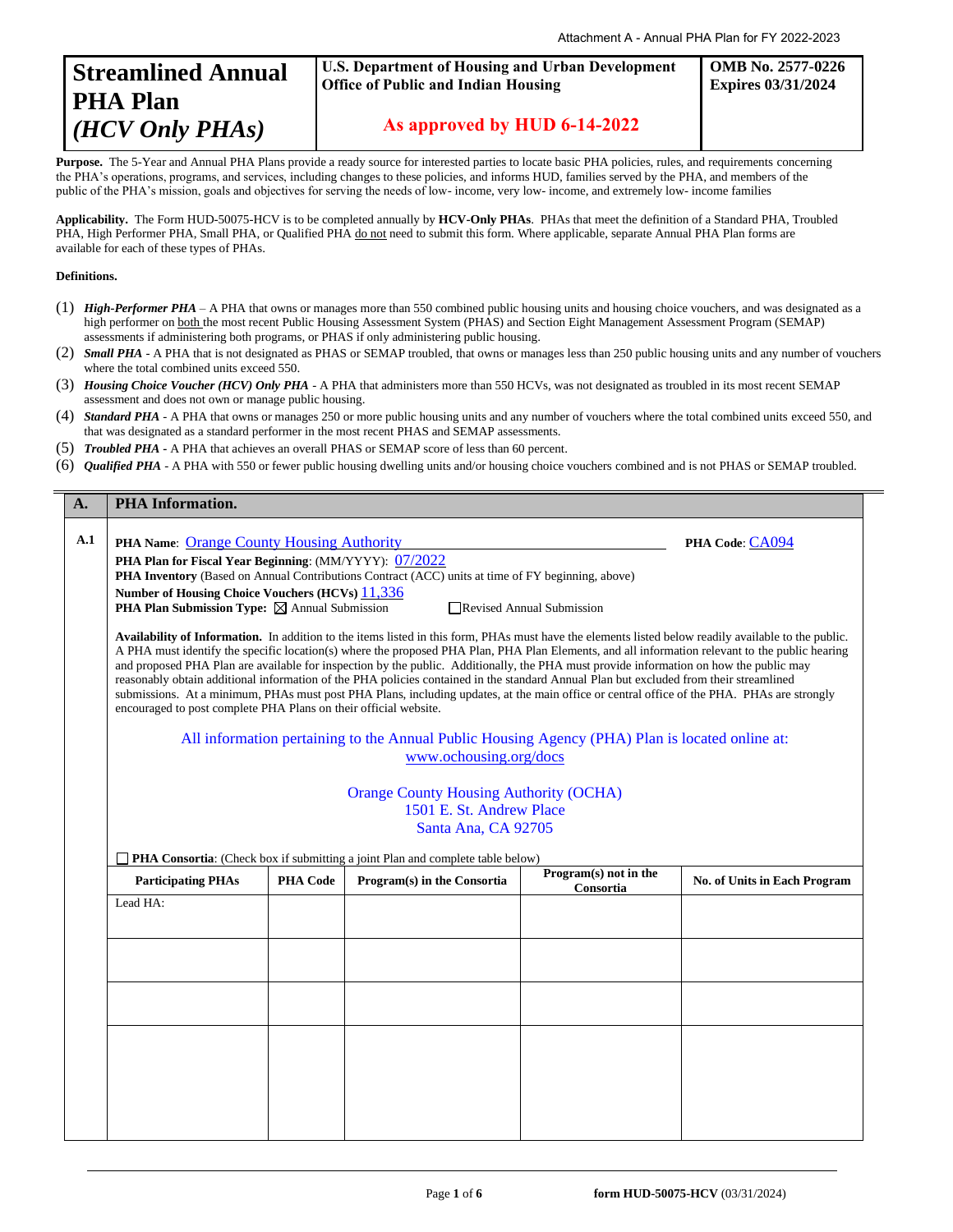

## **U.S. Department of Housing and Urban Development Office of Public and Indian Housing**

**OMB No. 2577-0226 Expires 03/31/2024**

 **As approved by HUD 6-14-2022**

Purpose. The 5-Year and Annual PHA Plans provide a ready source for interested parties to locate basic PHA policies, rules, and requirements concerning the PHA's operations, programs, and services, including changes to these policies, and informs HUD, families served by the PHA, and members of the public of the PHA's mission, goals and objectives for serving the needs of low- income, very low- income, and extremely low- income families

**Applicability.** The Form HUD-50075-HCV is to be completed annually by **HCV-Only PHAs**. PHAs that meet the definition of a Standard PHA, Troubled PHA, High Performer PHA, Small PHA, or Qualified PHA do not need to submit this form. Where applicable, separate Annual PHA Plan forms are available for each of these types of PHAs.

## **Definitions.**

 $\blacksquare$ 

- (1) *High-Performer PHA* A PHA that owns or manages more than 550 combined public housing units and housing choice vouchers, and was designated as a high performer on both the most recent Public Housing Assessment System (PHAS) and Section Eight Management Assessment Program (SEMAP) assessments if administering both programs, or PHAS if only administering public housing.
- (2) *Small PHA* A PHA that is not designated as PHAS or SEMAP troubled, that owns or manages less than 250 public housing units and any number of vouchers where the total combined units exceed 550.
- (3) *Housing Choice Voucher (HCV) Only PHA* A PHA that administers more than 550 HCVs, was not designated as troubled in its most recent SEMAP assessment and does not own or manage public housing.
- (4) *Standard PHA* A PHA that owns or manages 250 or more public housing units and any number of vouchers where the total combined units exceed 550, and that was designated as a standard performer in the most recent PHAS and SEMAP assessments.
- (5) *Troubled PHA* **-** A PHA that achieves an overall PHAS or SEMAP score of less than 60 percent.
- (6) *Qualified PHA* A PHA with 550 or fewer public housing dwelling units and/or housing choice vouchers combined and is not PHAS or SEMAP troubled.

| <b>PHA Information.</b>                                                                                                                                                                                                                                                                                                                                                                                                                                                                                                                                                                                                                                                                                                                                                                                       |                 |                             |                          |                                                                                                                                                     |  |
|---------------------------------------------------------------------------------------------------------------------------------------------------------------------------------------------------------------------------------------------------------------------------------------------------------------------------------------------------------------------------------------------------------------------------------------------------------------------------------------------------------------------------------------------------------------------------------------------------------------------------------------------------------------------------------------------------------------------------------------------------------------------------------------------------------------|-----------------|-----------------------------|--------------------------|-----------------------------------------------------------------------------------------------------------------------------------------------------|--|
| <b>PHA Name: Orange County Housing Authority</b><br>PHA Code: CA094<br><b>PHA Plan for Fiscal Year Beginning:</b> (MM/YYYY): 07/2022<br>PHA Inventory (Based on Annual Contributions Contract (ACC) units at time of FY beginning, above)<br>Number of Housing Choice Vouchers (HCVs) 11,336<br><b>PHA Plan Submission Type:</b> $\boxtimes$ Annual Submission<br>Revised Annual Submission                                                                                                                                                                                                                                                                                                                                                                                                                   |                 |                             |                          |                                                                                                                                                     |  |
| Availability of Information. In addition to the items listed in this form, PHAs must have the elements listed below readily available to the public.<br>A PHA must identify the specific location(s) where the proposed PHA Plan, PHA Plan Elements, and all information relevant to the public hearing<br>and proposed PHA Plan are available for inspection by the public. Additionally, the PHA must provide information on how the public may<br>reasonably obtain additional information of the PHA policies contained in the standard Annual Plan but excluded from their streamlined<br>submissions. At a minimum, PHAs must post PHA Plans, including updates, at the main office or central office of the PHA. PHAs are strongly<br>encouraged to post complete PHA Plans on their official website. |                 |                             |                          |                                                                                                                                                     |  |
| All information pertaining to the Annual Public Housing Agency (PHA) Plan is located online at:<br>www.ochousing.org/docs                                                                                                                                                                                                                                                                                                                                                                                                                                                                                                                                                                                                                                                                                     |                 |                             |                          |                                                                                                                                                     |  |
| 1501 E. St. Andrew Place<br>Santa Ana, CA 92705                                                                                                                                                                                                                                                                                                                                                                                                                                                                                                                                                                                                                                                                                                                                                               |                 |                             |                          |                                                                                                                                                     |  |
| <b>Participating PHAs</b>                                                                                                                                                                                                                                                                                                                                                                                                                                                                                                                                                                                                                                                                                                                                                                                     | <b>PHA Code</b> | Program(s) in the Consortia | Program $(s)$ not in the | <b>No. of Units in Each Program</b>                                                                                                                 |  |
| Lead HA:                                                                                                                                                                                                                                                                                                                                                                                                                                                                                                                                                                                                                                                                                                                                                                                                      |                 |                             |                          |                                                                                                                                                     |  |
|                                                                                                                                                                                                                                                                                                                                                                                                                                                                                                                                                                                                                                                                                                                                                                                                               |                 |                             |                          |                                                                                                                                                     |  |
|                                                                                                                                                                                                                                                                                                                                                                                                                                                                                                                                                                                                                                                                                                                                                                                                               |                 |                             |                          |                                                                                                                                                     |  |
|                                                                                                                                                                                                                                                                                                                                                                                                                                                                                                                                                                                                                                                                                                                                                                                                               |                 |                             |                          |                                                                                                                                                     |  |
|                                                                                                                                                                                                                                                                                                                                                                                                                                                                                                                                                                                                                                                                                                                                                                                                               |                 |                             |                          |                                                                                                                                                     |  |
|                                                                                                                                                                                                                                                                                                                                                                                                                                                                                                                                                                                                                                                                                                                                                                                                               |                 |                             |                          |                                                                                                                                                     |  |
|                                                                                                                                                                                                                                                                                                                                                                                                                                                                                                                                                                                                                                                                                                                                                                                                               |                 |                             |                          |                                                                                                                                                     |  |
|                                                                                                                                                                                                                                                                                                                                                                                                                                                                                                                                                                                                                                                                                                                                                                                                               |                 |                             |                          | <b>Orange County Housing Authority (OCHA)</b><br><b>PHA Consortia:</b> (Check box if submitting a joint Plan and complete table below)<br>Consortia |  |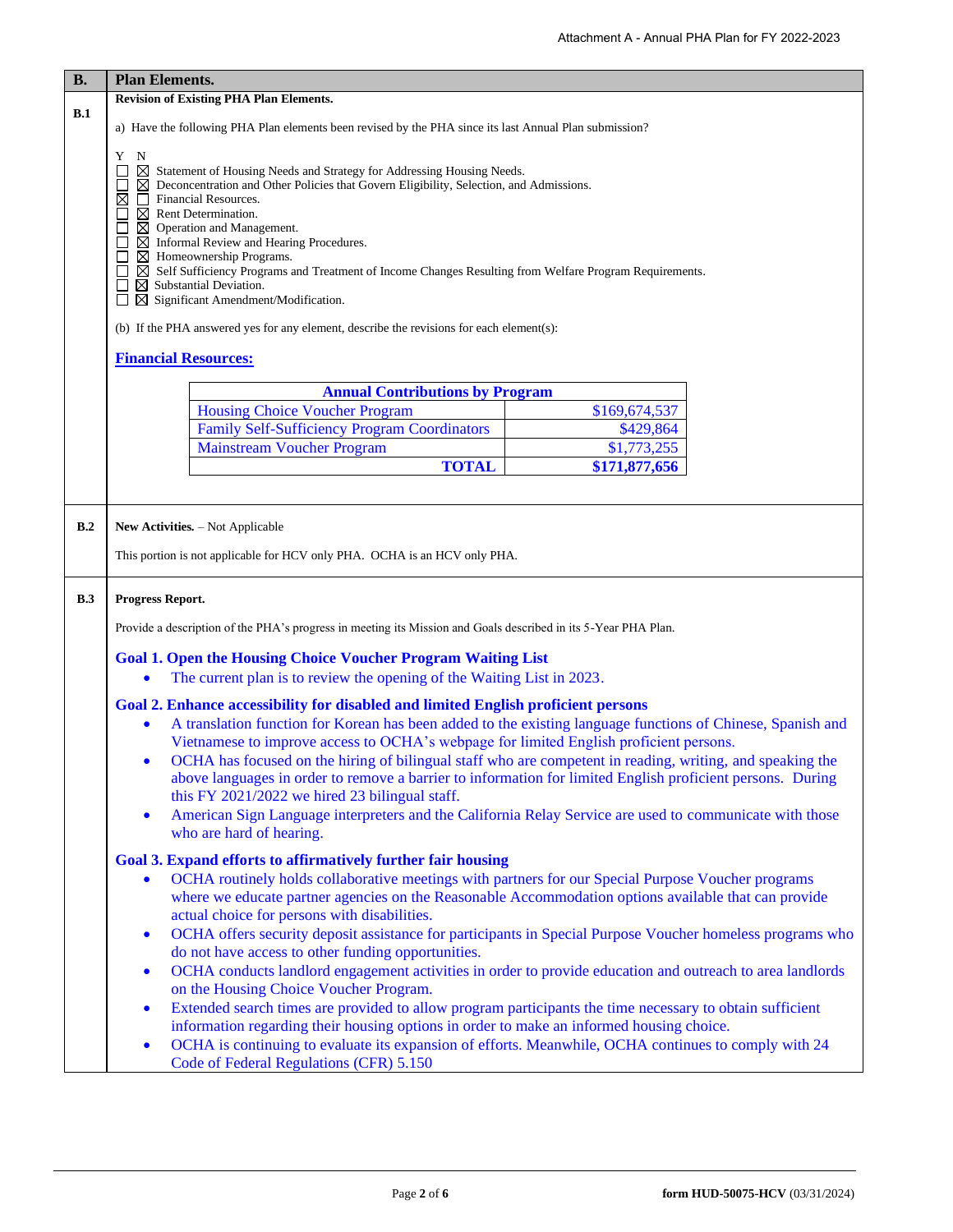| <b>B.</b> | <b>Plan Elements.</b>                                                                                                                                                                                                                                                                                                                                                                                                                                                                                                                                                                                                                                        |  |  |  |  |  |  |
|-----------|--------------------------------------------------------------------------------------------------------------------------------------------------------------------------------------------------------------------------------------------------------------------------------------------------------------------------------------------------------------------------------------------------------------------------------------------------------------------------------------------------------------------------------------------------------------------------------------------------------------------------------------------------------------|--|--|--|--|--|--|
|           | <b>Revision of Existing PHA Plan Elements.</b>                                                                                                                                                                                                                                                                                                                                                                                                                                                                                                                                                                                                               |  |  |  |  |  |  |
| B.1       | a) Have the following PHA Plan elements been revised by the PHA since its last Annual Plan submission?                                                                                                                                                                                                                                                                                                                                                                                                                                                                                                                                                       |  |  |  |  |  |  |
|           | Y<br>N<br>$\boxtimes$ Statement of Housing Needs and Strategy for Addressing Housing Needs.<br>$\boxtimes$ Deconcentration and Other Policies that Govern Eligibility, Selection, and Admissions.<br>$\boxtimes$<br><b>Financial Resources.</b><br>$\Box$<br>$\boxtimes$ Rent Determination.<br>$\boxtimes$ Operation and Management.<br>$\boxtimes$ Informal Review and Hearing Procedures.<br>$\boxtimes$ Homeownership Programs.<br>$\boxtimes$ Self Sufficiency Programs and Treatment of Income Changes Resulting from Welfare Program Requirements.<br>$\boxtimes$ Substantial Deviation.<br>$\boxtimes$ Significant Amendment/Modification.<br>$\Box$ |  |  |  |  |  |  |
|           | (b) If the PHA answered yes for any element, describe the revisions for each element(s):                                                                                                                                                                                                                                                                                                                                                                                                                                                                                                                                                                     |  |  |  |  |  |  |
|           | <b>Financial Resources:</b>                                                                                                                                                                                                                                                                                                                                                                                                                                                                                                                                                                                                                                  |  |  |  |  |  |  |
|           |                                                                                                                                                                                                                                                                                                                                                                                                                                                                                                                                                                                                                                                              |  |  |  |  |  |  |
|           | <b>Annual Contributions by Program</b><br><b>Housing Choice Voucher Program</b><br>\$169,674,537                                                                                                                                                                                                                                                                                                                                                                                                                                                                                                                                                             |  |  |  |  |  |  |
|           | <b>Family Self-Sufficiency Program Coordinators</b><br>\$429,864                                                                                                                                                                                                                                                                                                                                                                                                                                                                                                                                                                                             |  |  |  |  |  |  |
|           | \$1,773,255<br><b>Mainstream Voucher Program</b>                                                                                                                                                                                                                                                                                                                                                                                                                                                                                                                                                                                                             |  |  |  |  |  |  |
|           | <b>TOTAL</b><br>\$171,877,656                                                                                                                                                                                                                                                                                                                                                                                                                                                                                                                                                                                                                                |  |  |  |  |  |  |
|           |                                                                                                                                                                                                                                                                                                                                                                                                                                                                                                                                                                                                                                                              |  |  |  |  |  |  |
| B.2       | New Activities. - Not Applicable<br>This portion is not applicable for HCV only PHA. OCHA is an HCV only PHA.                                                                                                                                                                                                                                                                                                                                                                                                                                                                                                                                                |  |  |  |  |  |  |
| B.3       | Progress Report.                                                                                                                                                                                                                                                                                                                                                                                                                                                                                                                                                                                                                                             |  |  |  |  |  |  |
|           | Provide a description of the PHA's progress in meeting its Mission and Goals described in its 5-Year PHA Plan.                                                                                                                                                                                                                                                                                                                                                                                                                                                                                                                                               |  |  |  |  |  |  |
|           | <b>Goal 1. Open the Housing Choice Voucher Program Waiting List</b><br>The current plan is to review the opening of the Waiting List in 2023.                                                                                                                                                                                                                                                                                                                                                                                                                                                                                                                |  |  |  |  |  |  |
|           |                                                                                                                                                                                                                                                                                                                                                                                                                                                                                                                                                                                                                                                              |  |  |  |  |  |  |
|           | <b>Goal 2. Enhance accessibility for disabled and limited English proficient persons</b><br>A translation function for Korean has been added to the existing language functions of Chinese, Spanish and<br>Vietnamese to improve access to OCHA's webpage for limited English proficient persons.                                                                                                                                                                                                                                                                                                                                                            |  |  |  |  |  |  |
|           | OCHA has focused on the hiring of bilingual staff who are competent in reading, writing, and speaking the<br>above languages in order to remove a barrier to information for limited English proficient persons. During<br>this FY 2021/2022 we hired 23 bilingual staff.                                                                                                                                                                                                                                                                                                                                                                                    |  |  |  |  |  |  |
|           | American Sign Language interpreters and the California Relay Service are used to communicate with those<br>$\bullet$<br>who are hard of hearing.                                                                                                                                                                                                                                                                                                                                                                                                                                                                                                             |  |  |  |  |  |  |
|           | <b>Goal 3. Expand efforts to affirmatively further fair housing</b>                                                                                                                                                                                                                                                                                                                                                                                                                                                                                                                                                                                          |  |  |  |  |  |  |
|           | OCHA routinely holds collaborative meetings with partners for our Special Purpose Voucher programs<br>$\bullet$<br>where we educate partner agencies on the Reasonable Accommodation options available that can provide<br>actual choice for persons with disabilities.                                                                                                                                                                                                                                                                                                                                                                                      |  |  |  |  |  |  |
|           | OCHA offers security deposit assistance for participants in Special Purpose Voucher homeless programs who<br>$\bullet$<br>do not have access to other funding opportunities.                                                                                                                                                                                                                                                                                                                                                                                                                                                                                 |  |  |  |  |  |  |
|           | OCHA conducts landlord engagement activities in order to provide education and outreach to area landlords<br>$\bullet$<br>on the Housing Choice Voucher Program.                                                                                                                                                                                                                                                                                                                                                                                                                                                                                             |  |  |  |  |  |  |
|           | Extended search times are provided to allow program participants the time necessary to obtain sufficient<br>$\bullet$                                                                                                                                                                                                                                                                                                                                                                                                                                                                                                                                        |  |  |  |  |  |  |
|           | information regarding their housing options in order to make an informed housing choice.<br>OCHA is continuing to evaluate its expansion of efforts. Meanwhile, OCHA continues to comply with 24<br>$\bullet$<br>Code of Federal Regulations (CFR) 5.150                                                                                                                                                                                                                                                                                                                                                                                                     |  |  |  |  |  |  |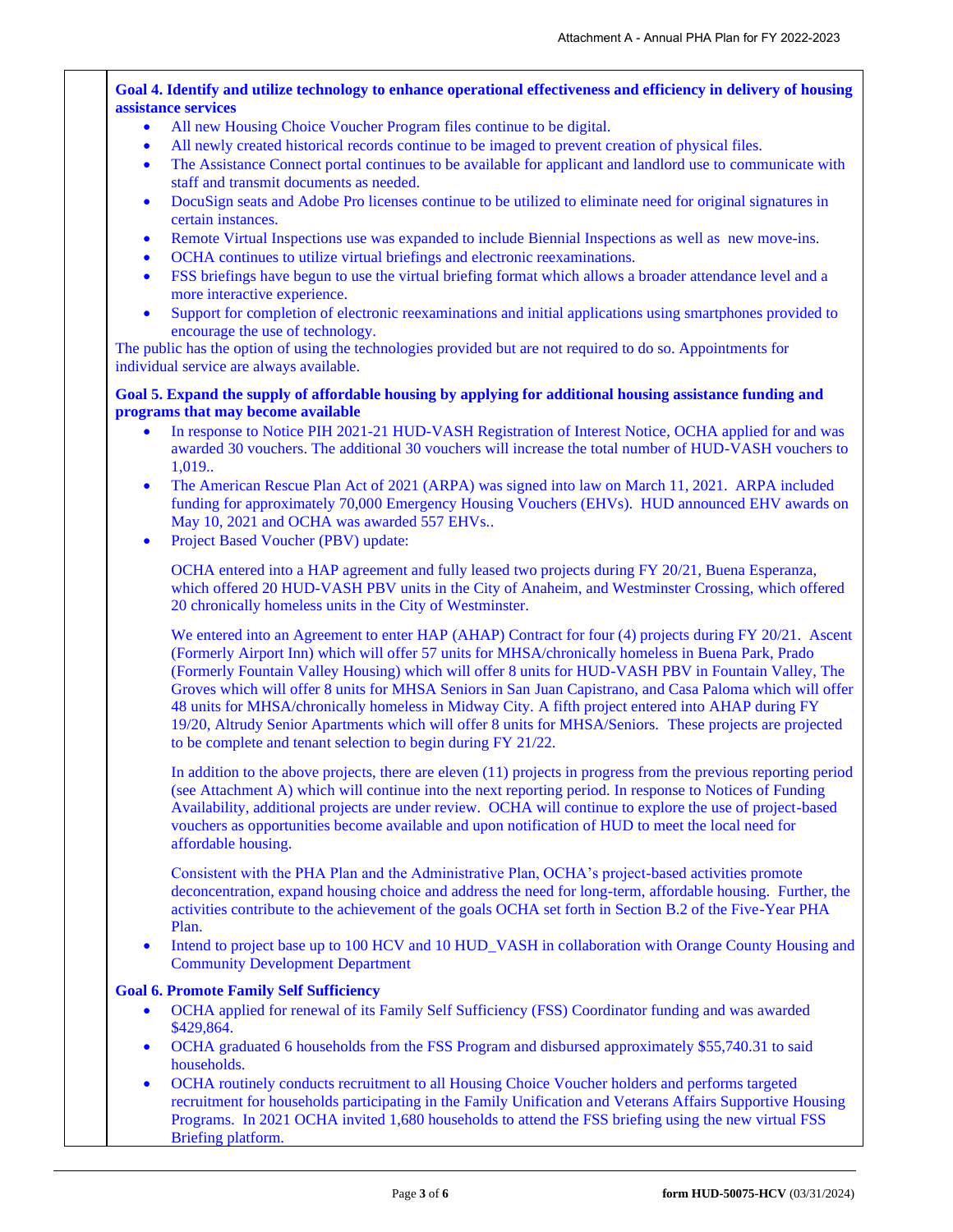# **Goal 4. Identify and utilize technology to enhance operational effectiveness and efficiency in delivery of housing assistance services**

- All new Housing Choice Voucher Program files continue to be digital.
- All newly created historical records continue to be imaged to prevent creation of physical files.
- The Assistance Connect portal continues to be available for applicant and landlord use to communicate with staff and transmit documents as needed.
- DocuSign seats and Adobe Pro licenses continue to be utilized to eliminate need for original signatures in certain instances.
- Remote Virtual Inspections use was expanded to include Biennial Inspections as well as new move-ins.
- OCHA continues to utilize virtual briefings and electronic reexaminations.
- FSS briefings have begun to use the virtual briefing format which allows a broader attendance level and a more interactive experience.
- Support for completion of electronic reexaminations and initial applications using smartphones provided to encourage the use of technology.

The public has the option of using the technologies provided but are not required to do so. Appointments for individual service are always available.

# **Goal 5. Expand the supply of affordable housing by applying for additional housing assistance funding and programs that may become available**

- In response to Notice PIH 2021-21 HUD-VASH Registration of Interest Notice, OCHA applied for and was awarded 30 vouchers. The additional 30 vouchers will increase the total number of HUD-VASH vouchers to 1,019..
- The American Rescue Plan Act of 2021 (ARPA) was signed into law on March 11, 2021. ARPA included funding for approximately 70,000 Emergency Housing Vouchers (EHVs). HUD announced EHV awards on May 10, 2021 and OCHA was awarded 557 EHVs..
- Project Based Voucher (PBV) update:

OCHA entered into a HAP agreement and fully leased two projects during FY 20/21, Buena Esperanza, which offered 20 HUD-VASH PBV units in the City of Anaheim, and Westminster Crossing, which offered 20 chronically homeless units in the City of Westminster.

We entered into an Agreement to enter HAP (AHAP) Contract for four (4) projects during FY 20/21. Ascent (Formerly Airport Inn) which will offer 57 units for MHSA/chronically homeless in Buena Park, Prado (Formerly Fountain Valley Housing) which will offer 8 units for HUD-VASH PBV in Fountain Valley, The Groves which will offer 8 units for MHSA Seniors in San Juan Capistrano, and Casa Paloma which will offer 48 units for MHSA/chronically homeless in Midway City. A fifth project entered into AHAP during FY 19/20, Altrudy Senior Apartments which will offer 8 units for MHSA/Seniors. These projects are projected to be complete and tenant selection to begin during FY 21/22.

In addition to the above projects, there are eleven (11) projects in progress from the previous reporting period (see Attachment A) which will continue into the next reporting period. In response to Notices of Funding Availability, additional projects are under review. OCHA will continue to explore the use of project-based vouchers as opportunities become available and upon notification of HUD to meet the local need for affordable housing.

Consistent with the PHA Plan and the Administrative Plan, OCHA's project-based activities promote deconcentration, expand housing choice and address the need for long-term, affordable housing. Further, the activities contribute to the achievement of the goals OCHA set forth in Section B.2 of the Five-Year PHA Plan.

Intend to project base up to 100 HCV and 10 HUD\_VASH in collaboration with Orange County Housing and Community Development Department

# **Goal 6. Promote Family Self Sufficiency**

- OCHA applied for renewal of its Family Self Sufficiency (FSS) Coordinator funding and was awarded \$429,864.
- OCHA graduated 6 households from the FSS Program and disbursed approximately \$55,740.31 to said households.
- OCHA routinely conducts recruitment to all Housing Choice Voucher holders and performs targeted recruitment for households participating in the Family Unification and Veterans Affairs Supportive Housing Programs. In 2021 OCHA invited 1,680 households to attend the FSS briefing using the new virtual FSS Briefing platform.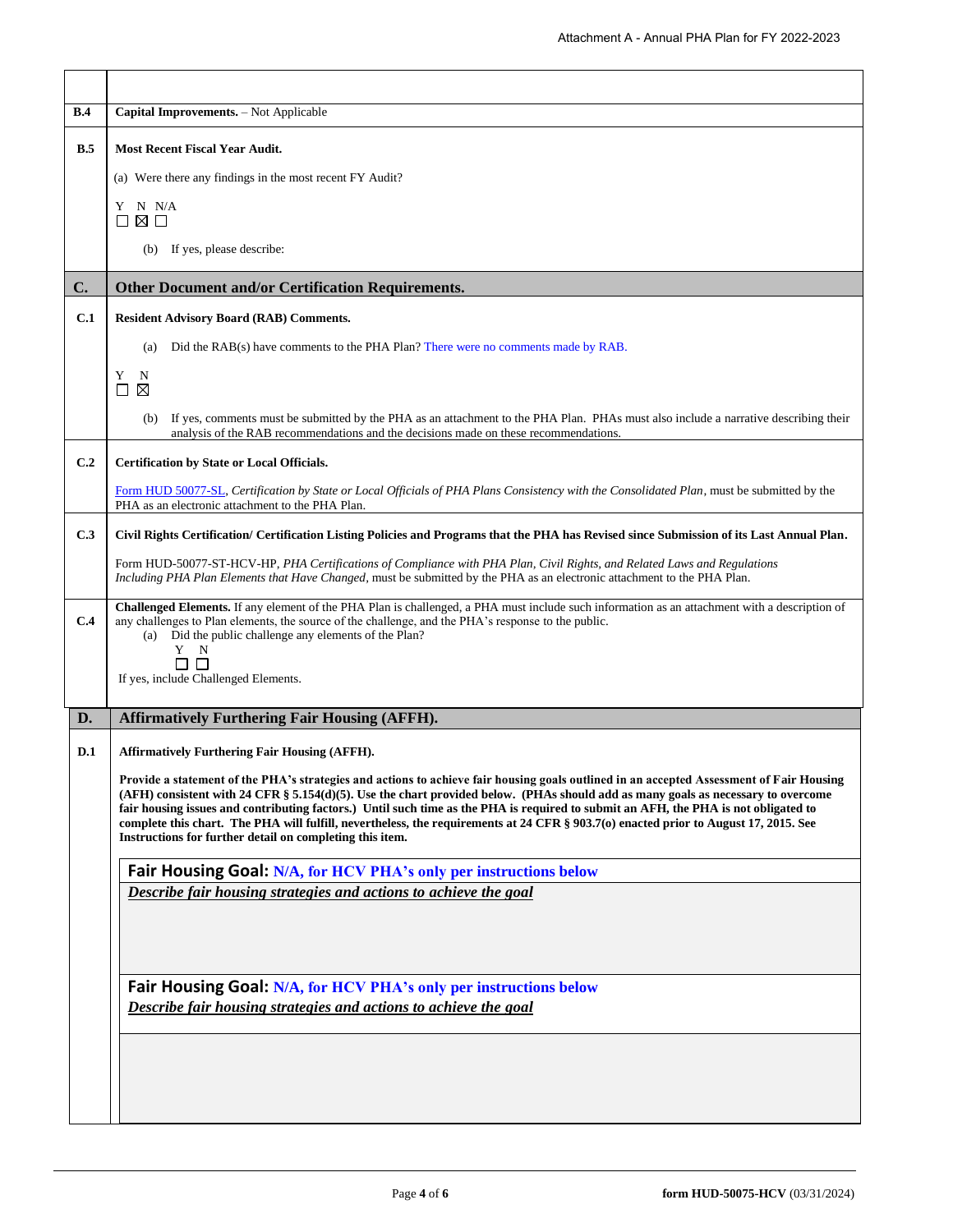| <b>B.4</b> | Capital Improvements. - Not Applicable                                                                                                                                                                                                                                                                                                                                                                                                                                                                                                                                                                                                                                           |  |  |  |  |  |
|------------|----------------------------------------------------------------------------------------------------------------------------------------------------------------------------------------------------------------------------------------------------------------------------------------------------------------------------------------------------------------------------------------------------------------------------------------------------------------------------------------------------------------------------------------------------------------------------------------------------------------------------------------------------------------------------------|--|--|--|--|--|
| B.5        | <b>Most Recent Fiscal Year Audit.</b>                                                                                                                                                                                                                                                                                                                                                                                                                                                                                                                                                                                                                                            |  |  |  |  |  |
|            | (a) Were there any findings in the most recent FY Audit?                                                                                                                                                                                                                                                                                                                                                                                                                                                                                                                                                                                                                         |  |  |  |  |  |
|            | Y N N/A<br>$\square$ $\square$ $\square$                                                                                                                                                                                                                                                                                                                                                                                                                                                                                                                                                                                                                                         |  |  |  |  |  |
|            | (b) If yes, please describe:                                                                                                                                                                                                                                                                                                                                                                                                                                                                                                                                                                                                                                                     |  |  |  |  |  |
| C.         | <b>Other Document and/or Certification Requirements.</b>                                                                                                                                                                                                                                                                                                                                                                                                                                                                                                                                                                                                                         |  |  |  |  |  |
| C.1        | <b>Resident Advisory Board (RAB) Comments.</b>                                                                                                                                                                                                                                                                                                                                                                                                                                                                                                                                                                                                                                   |  |  |  |  |  |
|            | Did the RAB(s) have comments to the PHA Plan? There were no comments made by RAB.<br>(a)                                                                                                                                                                                                                                                                                                                                                                                                                                                                                                                                                                                         |  |  |  |  |  |
|            | Y<br>N<br>⊠<br>$\perp$                                                                                                                                                                                                                                                                                                                                                                                                                                                                                                                                                                                                                                                           |  |  |  |  |  |
|            | If yes, comments must be submitted by the PHA as an attachment to the PHA Plan. PHAs must also include a narrative describing their<br>(b)<br>analysis of the RAB recommendations and the decisions made on these recommendations.                                                                                                                                                                                                                                                                                                                                                                                                                                               |  |  |  |  |  |
| C.2        | Certification by State or Local Officials.                                                                                                                                                                                                                                                                                                                                                                                                                                                                                                                                                                                                                                       |  |  |  |  |  |
|            | Form HUD 50077-SL, Certification by State or Local Officials of PHA Plans Consistency with the Consolidated Plan, must be submitted by the<br>PHA as an electronic attachment to the PHA Plan.                                                                                                                                                                                                                                                                                                                                                                                                                                                                                   |  |  |  |  |  |
| C.3        | Civil Rights Certification/ Certification Listing Policies and Programs that the PHA has Revised since Submission of its Last Annual Plan.                                                                                                                                                                                                                                                                                                                                                                                                                                                                                                                                       |  |  |  |  |  |
|            | Form HUD-50077-ST-HCV-HP, PHA Certifications of Compliance with PHA Plan, Civil Rights, and Related Laws and Regulations<br>Including PHA Plan Elements that Have Changed, must be submitted by the PHA as an electronic attachment to the PHA Plan.                                                                                                                                                                                                                                                                                                                                                                                                                             |  |  |  |  |  |
| C.4        | Challenged Elements. If any element of the PHA Plan is challenged, a PHA must include such information as an attachment with a description of<br>any challenges to Plan elements, the source of the challenge, and the PHA's response to the public.<br>(a) Did the public challenge any elements of the Plan?<br>Y N<br>ПП<br>If yes, include Challenged Elements.                                                                                                                                                                                                                                                                                                              |  |  |  |  |  |
| D.         | <b>Affirmatively Furthering Fair Housing (AFFH).</b>                                                                                                                                                                                                                                                                                                                                                                                                                                                                                                                                                                                                                             |  |  |  |  |  |
| D.1        | <b>Affirmatively Furthering Fair Housing (AFFH).</b><br>Provide a statement of the PHA's strategies and actions to achieve fair housing goals outlined in an accepted Assessment of Fair Housing<br>(AFH) consistent with 24 CFR § 5.154(d)(5). Use the chart provided below. (PHAs should add as many goals as necessary to overcome<br>fair housing issues and contributing factors.) Until such time as the PHA is required to submit an AFH, the PHA is not obligated to<br>complete this chart. The PHA will fulfill, nevertheless, the requirements at 24 CFR § 903.7(o) enacted prior to August 17, 2015. See<br>Instructions for further detail on completing this item. |  |  |  |  |  |
|            | Fair Housing Goal: N/A, for HCV PHA's only per instructions below                                                                                                                                                                                                                                                                                                                                                                                                                                                                                                                                                                                                                |  |  |  |  |  |
|            | Describe fair housing strategies and actions to achieve the goal                                                                                                                                                                                                                                                                                                                                                                                                                                                                                                                                                                                                                 |  |  |  |  |  |
|            | Fair Housing Goal: N/A, for HCV PHA's only per instructions below                                                                                                                                                                                                                                                                                                                                                                                                                                                                                                                                                                                                                |  |  |  |  |  |
|            | Describe fair housing strategies and actions to achieve the goal                                                                                                                                                                                                                                                                                                                                                                                                                                                                                                                                                                                                                 |  |  |  |  |  |
|            |                                                                                                                                                                                                                                                                                                                                                                                                                                                                                                                                                                                                                                                                                  |  |  |  |  |  |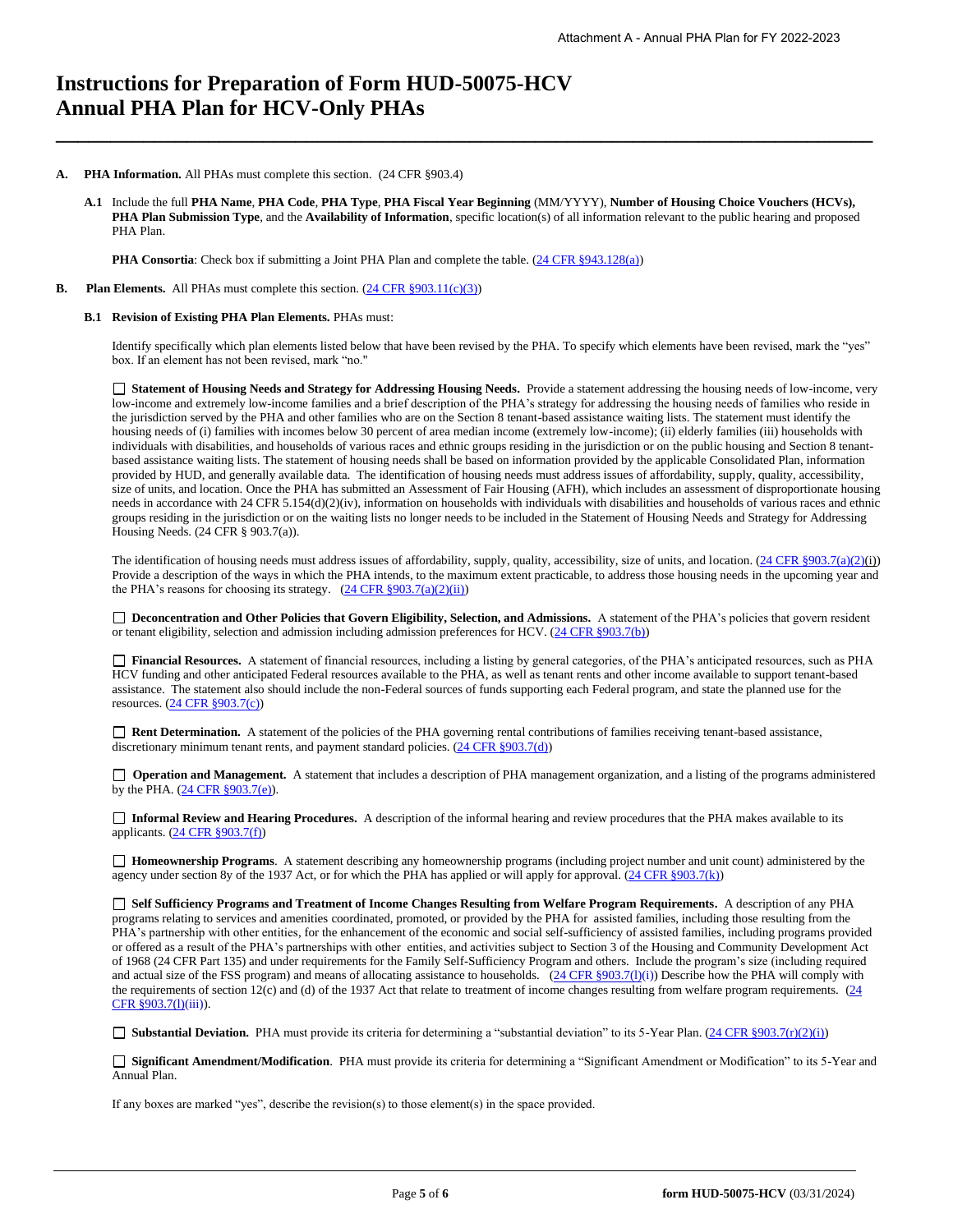# **Instructions for Preparation of Form HUD-50075-HCV Annual PHA Plan for HCV-Only PHAs**

#### **A. PHA Information.** All PHAs must complete this section. (24 CFR §903.4)

**A.1** Include the full **PHA Name**, **PHA Code**, **PHA Type**, **PHA Fiscal Year Beginning** (MM/YYYY), **Number of Housing Choice Vouchers (HCVs), PHA Plan Submission Type**, and the **Availability of Information**, specific location(s) of all information relevant to the public hearing and proposed PHA Plan.

**\_\_\_\_\_\_\_\_\_\_\_\_\_\_\_\_\_\_\_\_\_\_\_\_\_\_\_\_\_\_\_\_\_\_\_\_\_\_\_\_\_\_\_\_\_\_\_\_\_\_\_\_\_\_\_\_\_\_\_\_\_\_\_\_\_\_\_\_\_\_\_\_\_\_\_**

**PHA Consortia**: Check box if submitting a Joint PHA Plan and complete the table. [\(24 CFR §943.128\(a\)\)](http://ecfr.gpoaccess.gov/cgi/t/text/text-idx?c=ecfr&sid=cc31cf1c3a2b84ba4ead75d35d258f67&rgn=div5&view=text&node=24:4.0.3.1.10&idno=24#24:4.0.3.1.10.2.5.7)

**B.** Plan **Elements.** All PHAs must complete this section. [\(24 CFR §903.11\(c\)\(3\)\)](http://ecfr.gpoaccess.gov/cgi/t/text/text-idx?c=ecfr&sid=c84b8750d7c9fcd46c0c7546aeb860cf&rgn=div5&view=text&node=24:4.0.3.1.3&idno=24#24:4.0.3.1.3.2.5.8)

## **B.1 Revision of Existing PHA Plan Elements.** PHAs must:

Identify specifically which plan elements listed below that have been revised by the PHA. To specify which elements have been revised, mark the "yes" box. If an element has not been revised, mark "no."

 **Statement of Housing Needs and Strategy for Addressing Housing Needs.** Provide a statement addressing the housing needs of low-income, very low-income and extremely low-income families and a brief description of the PHA's strategy for addressing the housing needs of families who reside in the jurisdiction served by the PHA and other families who are on the Section 8 tenant-based assistance waiting lists. The statement must identify the housing needs of (i) families with incomes below 30 percent of area median income (extremely low-income); (ii) elderly families (iii) households with individuals with disabilities, and households of various races and ethnic groups residing in the jurisdiction or on the public housing and Section 8 tenantbased assistance waiting lists. The statement of housing needs shall be based on information provided by the applicable Consolidated Plan, information provided by HUD, and generally available data. The identification of housing needs must address issues of affordability, supply, quality, accessibility, size of units, and location. Once the PHA has submitted an Assessment of Fair Housing (AFH), which includes an assessment of disproportionate housing needs in accordance with 24 CFR 5.154(d)(2)(iv), information on households with individuals with disabilities and households of various races and ethnic groups residing in the jurisdiction or on the waiting lists no longer needs to be included in the Statement of Housing Needs and Strategy for Addressing Housing Needs. (24 CFR § 903.7(a)).

The identification of housing needs must address issues of affordability, supply, quality, accessibility, size of units, and location.  $(24 \text{ CFR } \text{\textless{903.7(a)(2)(i)}})$ Provide a description of the ways in which the PHA intends, to the maximum extent practicable, to address those housing needs in the upcoming year and the PHA's reasons for choosing its strategy.  $(24 \text{ CFR } \S 903.7(a)(2)(ii))$ 

□ Deconcentration and Other Policies that Govern Eligibility, Selection, and Admissions. A statement of the PHA's policies that govern resident or tenant eligibility, selection and admission including admission preferences for HCV. [\(24 CFR §903.7\(b\)\)](http://ecfr.gpoaccess.gov/cgi/t/text/text-idx?c=ecfr&sid=b44bf19bef93dd31287608d2c687e271&rgn=div5&view=text&node=24:4.0.3.1.3&idno=24#24:4.0.3.1.3.2.5.5)

 **Financial Resources.** A statement of financial resources, including a listing by general categories, of the PHA's anticipated resources, such as PHA HCV funding and other anticipated Federal resources available to the PHA, as well as tenant rents and other income available to support tenant-based assistance. The statement also should include the non-Federal sources of funds supporting each Federal program, and state the planned use for the resources. [\(24 CFR §903.7\(c\)\)](http://ecfr.gpoaccess.gov/cgi/t/text/text-idx?c=ecfr&sid=b44bf19bef93dd31287608d2c687e271&rgn=div5&view=text&node=24:4.0.3.1.3&idno=24)

■ **Rent Determination.** A statement of the policies of the PHA governing rental contributions of families receiving tenant-based assistance, discretionary minimum tenant rents, and payment standard policies. [\(24 CFR §903.7\(d\)\)](http://ecfr.gpoaccess.gov/cgi/t/text/text-idx?c=ecfr&sid=b44bf19bef93dd31287608d2c687e271&rgn=div5&view=text&node=24:4.0.3.1.3&idno=24#24:4.0.3.1.3.2.5.5)

□ **Operation and Management.** A statement that includes a description of PHA management organization, and a listing of the programs administered by the PHA.  $(24 \text{ CFR } \frac{8903.7(e)}{e}).$ 

 **Informal Review and Hearing Procedures.** A description of the informal hearing and review procedures that the PHA makes available to its applicants. [\(24 CFR §903.7\(f\)\)](http://ecfr.gpoaccess.gov/cgi/t/text/text-idx?c=ecfr&sid=b44bf19bef93dd31287608d2c687e271&rgn=div5&view=text&node=24:4.0.3.1.3&idno=24#24:4.0.3.1.3.2.5.5)

 **Homeownership Programs**. A statement describing any homeownership programs (including project number and unit count) administered by the agency under section 8y of the 1937 Act, or for which the PHA has applied or will apply for approval. [\(24 CFR §903.7\(k\)\)](http://ecfr.gpoaccess.gov/cgi/t/text/text-idx?c=ecfr&sid=b44bf19bef93dd31287608d2c687e271&rgn=div5&view=text&node=24:4.0.3.1.3&idno=24#24:4.0.3.1.3.2.5.5)

 **Self Sufficiency Programs and Treatment of Income Changes Resulting from Welfare Program Requirements.** A description of any PHA programs relating to services and amenities coordinated, promoted, or provided by the PHA for assisted families, including those resulting from the PHA's partnership with other entities, for the enhancement of the economic and social self-sufficiency of assisted families, including programs provided or offered as a result of the PHA's partnerships with other entities, and activities subject to Section 3 of the Housing and Community Development Act of 1968 (24 CFR Part 135) and under requirements for the Family Self-Sufficiency Program and others. Include the program's size (including required and actual size of the FSS program) and means of allocating assistance to households.  $(24 \text{ CFR } \frac{8903.7(\text{l})(i)}{24 \text{ CFR } \frac{8903.7(\text{l})(i)}{24 \text{ CFR } \frac{8903.7(\text{l})(i)}{24 \text{ CFR } \frac{8903.7(\text{l})(i)}{24 \text{ CFR } \frac{8903.7(\text{l})(i)}{24 \text{ CFR }$ the requirements of section 12(c) and (d) of the 1937 Act that relate to treatment of income changes resulting from welfare program requirements. (24 [CFR §903.7\(l\)\(](http://ecfr.gpoaccess.gov/cgi/t/text/text-idx?c=ecfr&sid=13734845220744370804c20da2294a03&rgn=div5&view=text&node=24:4.0.3.1.3&idno=24#24:4.0.3.1.3.2.5.5)iii)).

■ **Substantial Deviation.** PHA must provide its criteria for determining a "substantial deviation" to its 5-Year Plan. [\(24 CFR §903.7\(r\)\(2\)\(i\)\)](http://ecfr.gpoaccess.gov/cgi/t/text/text-idx?c=ecfr&sid=13734845220744370804c20da2294a03&rgn=div5&view=text&node=24:4.0.3.1.3&idno=24#24:4.0.3.1.3.2.5.5)

 **Significant Amendment/Modification**. PHA must provide its criteria for determining a "Significant Amendment or Modification" to its 5-Year and Annual Plan.

If any boxes are marked "yes", describe the revision(s) to those element(s) in the space provided.